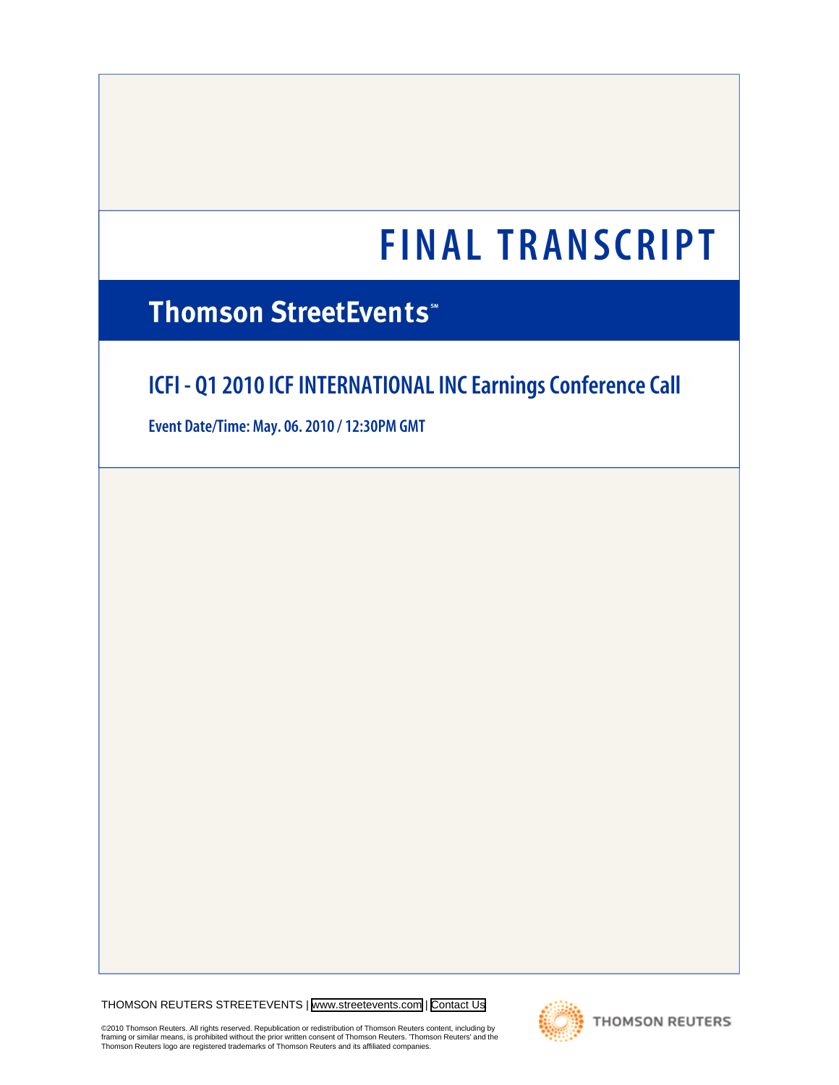# **Thomson StreetEvents**\*

# **ICFI - Q1 2010 ICF INTERNATIONAL INC Earnings Conference Call**

**Event Date/Time: May. 06. 2010 / 12:30PM GMT**

THOMSON REUTERS STREETEVENTS | [www.streetevents.com](http://www.streetevents.com) | [Contact Us](http://www010.streetevents.com/contact.asp)

©2010 Thomson Reuters. All rights reserved. Republication or redistribution of Thomson Reuters content, including by<br>framing or similar means, is prohibited without the prior written consent of Thomson Reuters. 'Thomson Re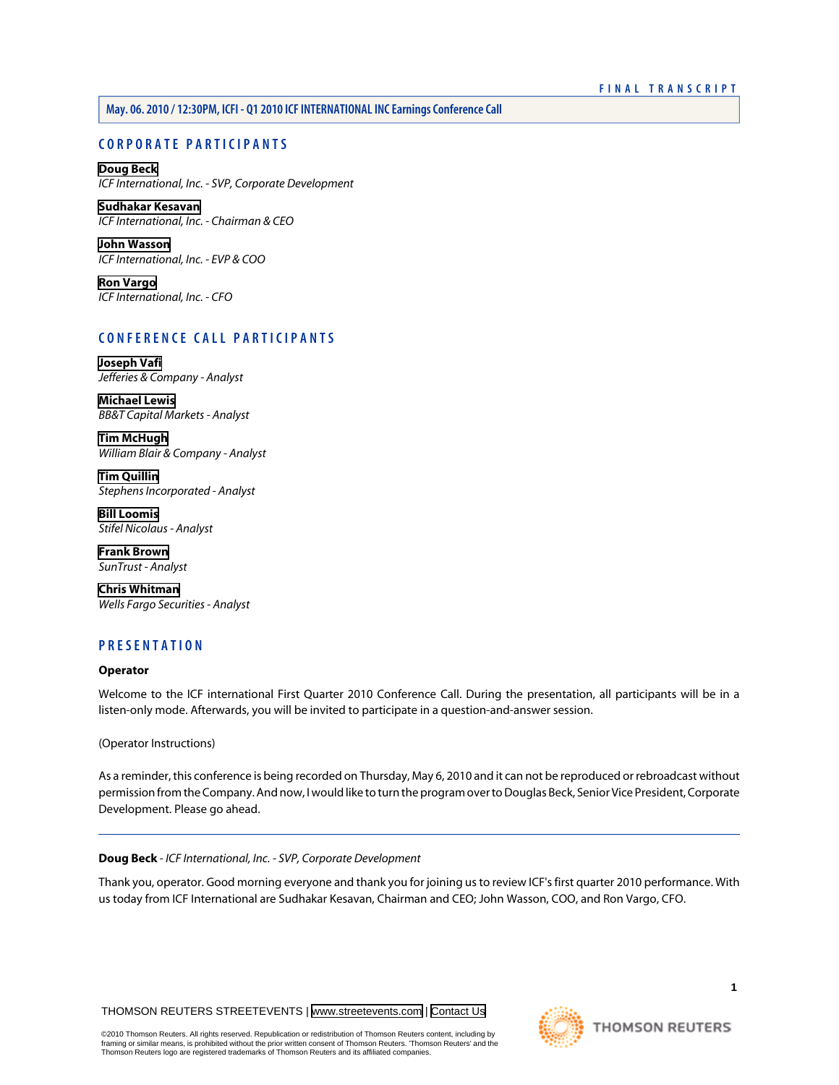# **May. 06. 2010 / 12:30PM, ICFI - Q1 2010 ICF INTERNATIONAL INC Earnings Conference Call**

# **CORPORATE PARTICIPANTS**

**[Doug Beck](#page-1-0)** *ICF International, Inc. - SVP, Corporate Development*

**[Sudhakar Kesavan](#page-2-0)** *ICF International, Inc. - Chairman & CEO*

**[John Wasson](#page-2-1)** *ICF International, Inc. - EVP & COO*

**[Ron Vargo](#page-4-0)** *ICF International, Inc. - CFO*

# **CONFERENCE CALL PARTICIPANTS**

**[Joseph Vafi](#page-5-0)** *Jefferies & Company - Analyst*

**[Michael Lewis](#page-6-0)** *BB&T Capital Markets - Analyst*

**[Tim McHugh](#page-8-0)** *William Blair & Company - Analyst*

**[Tim Quillin](#page-9-0)** *Stephens Incorporated - Analyst*

**[Bill Loomis](#page-11-0)** *Stifel Nicolaus - Analyst*

**[Frank Brown](#page-14-0)** *SunTrust - Analyst*

**[Chris Whitman](#page-15-0)** *Wells Fargo Securities - Analyst*

# **PRESENTATION**

## **Operator**

Welcome to the ICF international First Quarter 2010 Conference Call. During the presentation, all participants will be in a listen-only mode. Afterwards, you will be invited to participate in a question-and-answer session.

(Operator Instructions)

<span id="page-1-0"></span>As a reminder, this conference is being recorded on Thursday, May 6, 2010 and it can not be reproduced or rebroadcast without permission from the Company. And now, I would like to turn the program over to Douglas Beck, Senior Vice President, Corporate Development. Please go ahead.

## **Doug Beck** *- ICF International, Inc. - SVP, Corporate Development*

Thank you, operator. Good morning everyone and thank you for joining us to review ICF's first quarter 2010 performance. With us today from ICF International are Sudhakar Kesavan, Chairman and CEO; John Wasson, COO, and Ron Vargo, CFO.

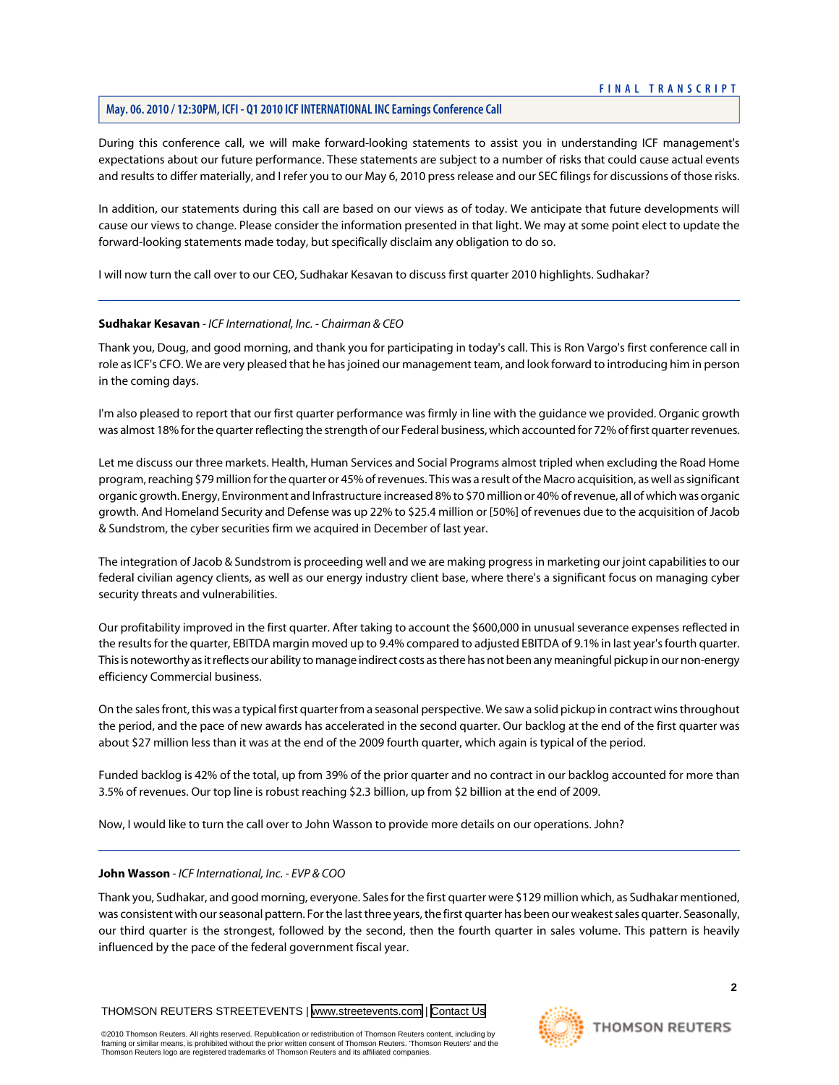# **May. 06. 2010 / 12:30PM, ICFI - Q1 2010 ICF INTERNATIONAL INC Earnings Conference Call**

During this conference call, we will make forward-looking statements to assist you in understanding ICF management's expectations about our future performance. These statements are subject to a number of risks that could cause actual events and results to differ materially, and I refer you to our May 6, 2010 press release and our SEC filings for discussions of those risks.

In addition, our statements during this call are based on our views as of today. We anticipate that future developments will cause our views to change. Please consider the information presented in that light. We may at some point elect to update the forward-looking statements made today, but specifically disclaim any obligation to do so.

<span id="page-2-0"></span>I will now turn the call over to our CEO, Sudhakar Kesavan to discuss first quarter 2010 highlights. Sudhakar?

#### **Sudhakar Kesavan** *- ICF International, Inc. - Chairman & CEO*

Thank you, Doug, and good morning, and thank you for participating in today's call. This is Ron Vargo's first conference call in role as ICF's CFO. We are very pleased that he has joined our management team, and look forward to introducing him in person in the coming days.

I'm also pleased to report that our first quarter performance was firmly in line with the guidance we provided. Organic growth was almost 18% for the quarter reflecting the strength of our Federal business, which accounted for 72% of first quarter revenues.

Let me discuss our three markets. Health, Human Services and Social Programs almost tripled when excluding the Road Home program, reaching \$79 million for the quarter or 45% of revenues. This was a result of the Macro acquisition, as well as significant organic growth. Energy, Environment and Infrastructure increased 8% to \$70 million or 40% of revenue, all of which was organic growth. And Homeland Security and Defense was up 22% to \$25.4 million or [50%] of revenues due to the acquisition of Jacob & Sundstrom, the cyber securities firm we acquired in December of last year.

The integration of Jacob & Sundstrom is proceeding well and we are making progress in marketing our joint capabilities to our federal civilian agency clients, as well as our energy industry client base, where there's a significant focus on managing cyber security threats and vulnerabilities.

Our profitability improved in the first quarter. After taking to account the \$600,000 in unusual severance expenses reflected in the results for the quarter, EBITDA margin moved up to 9.4% compared to adjusted EBITDA of 9.1% in last year's fourth quarter. This is noteworthy as it reflects our ability to manage indirect costs as there has not been any meaningful pickup in our non-energy efficiency Commercial business.

On the sales front, this was a typical first quarter from a seasonal perspective. We saw a solid pickup in contract wins throughout the period, and the pace of new awards has accelerated in the second quarter. Our backlog at the end of the first quarter was about \$27 million less than it was at the end of the 2009 fourth quarter, which again is typical of the period.

<span id="page-2-1"></span>Funded backlog is 42% of the total, up from 39% of the prior quarter and no contract in our backlog accounted for more than 3.5% of revenues. Our top line is robust reaching \$2.3 billion, up from \$2 billion at the end of 2009.

Now, I would like to turn the call over to John Wasson to provide more details on our operations. John?

#### **John Wasson** *- ICF International, Inc. - EVP & COO*

Thank you, Sudhakar, and good morning, everyone. Sales for the first quarter were \$129 million which, as Sudhakar mentioned, was consistent with our seasonal pattern. For the last three years, the first quarter has been our weakest sales quarter. Seasonally, our third quarter is the strongest, followed by the second, then the fourth quarter in sales volume. This pattern is heavily influenced by the pace of the federal government fiscal year.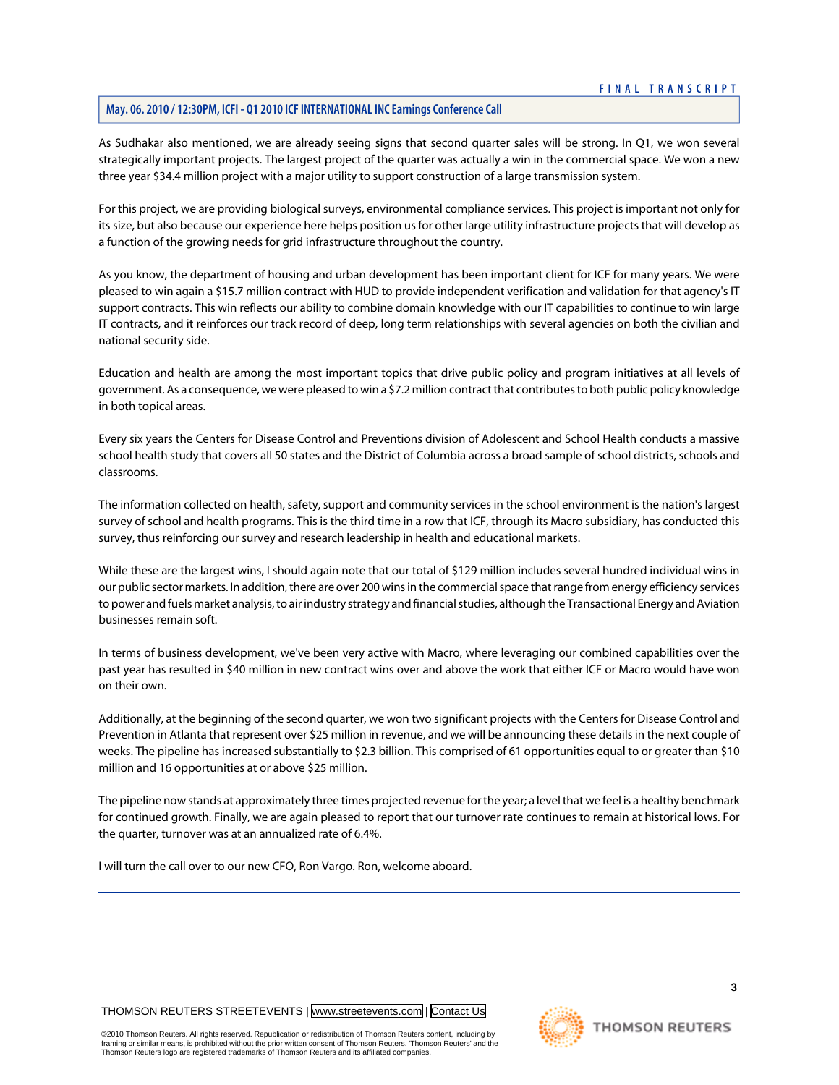As Sudhakar also mentioned, we are already seeing signs that second quarter sales will be strong. In Q1, we won several strategically important projects. The largest project of the quarter was actually a win in the commercial space. We won a new three year \$34.4 million project with a major utility to support construction of a large transmission system.

For this project, we are providing biological surveys, environmental compliance services. This project is important not only for its size, but also because our experience here helps position us for other large utility infrastructure projects that will develop as a function of the growing needs for grid infrastructure throughout the country.

As you know, the department of housing and urban development has been important client for ICF for many years. We were pleased to win again a \$15.7 million contract with HUD to provide independent verification and validation for that agency's IT support contracts. This win reflects our ability to combine domain knowledge with our IT capabilities to continue to win large IT contracts, and it reinforces our track record of deep, long term relationships with several agencies on both the civilian and national security side.

Education and health are among the most important topics that drive public policy and program initiatives at all levels of government. As a consequence, we were pleased to win a \$7.2 million contract that contributes to both public policy knowledge in both topical areas.

Every six years the Centers for Disease Control and Preventions division of Adolescent and School Health conducts a massive school health study that covers all 50 states and the District of Columbia across a broad sample of school districts, schools and classrooms.

The information collected on health, safety, support and community services in the school environment is the nation's largest survey of school and health programs. This is the third time in a row that ICF, through its Macro subsidiary, has conducted this survey, thus reinforcing our survey and research leadership in health and educational markets.

While these are the largest wins, I should again note that our total of \$129 million includes several hundred individual wins in our public sector markets. In addition, there are over 200 wins in the commercial space that range from energy efficiency services to power and fuels market analysis, to air industry strategy and financial studies, although the Transactional Energy and Aviation businesses remain soft.

In terms of business development, we've been very active with Macro, where leveraging our combined capabilities over the past year has resulted in \$40 million in new contract wins over and above the work that either ICF or Macro would have won on their own.

Additionally, at the beginning of the second quarter, we won two significant projects with the Centers for Disease Control and Prevention in Atlanta that represent over \$25 million in revenue, and we will be announcing these details in the next couple of weeks. The pipeline has increased substantially to \$2.3 billion. This comprised of 61 opportunities equal to or greater than \$10 million and 16 opportunities at or above \$25 million.

The pipeline now stands at approximately three times projected revenue for the year; a level that we feel is a healthy benchmark for continued growth. Finally, we are again pleased to report that our turnover rate continues to remain at historical lows. For the quarter, turnover was at an annualized rate of 6.4%.

I will turn the call over to our new CFO, Ron Vargo. Ron, welcome aboard.

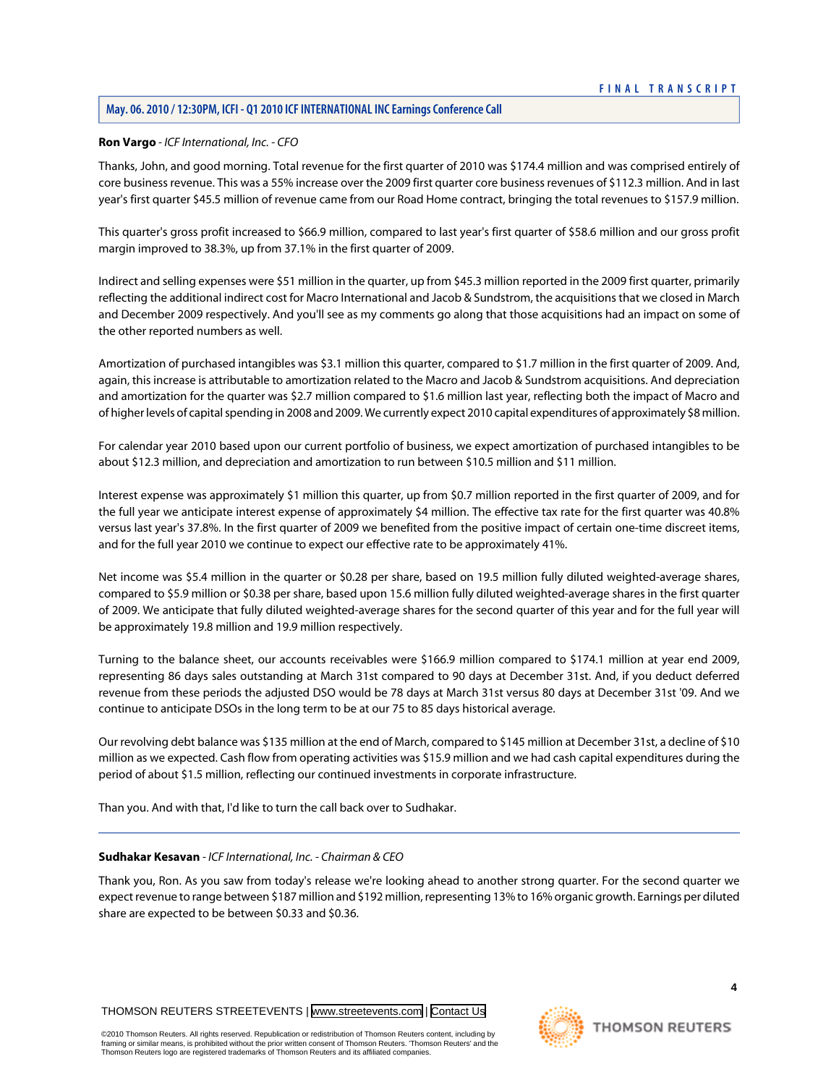# **May. 06. 2010 / 12:30PM, ICFI - Q1 2010 ICF INTERNATIONAL INC Earnings Conference Call**

# <span id="page-4-0"></span>**Ron Vargo** *- ICF International, Inc. - CFO*

Thanks, John, and good morning. Total revenue for the first quarter of 2010 was \$174.4 million and was comprised entirely of core business revenue. This was a 55% increase over the 2009 first quarter core business revenues of \$112.3 million. And in last year's first quarter \$45.5 million of revenue came from our Road Home contract, bringing the total revenues to \$157.9 million.

This quarter's gross profit increased to \$66.9 million, compared to last year's first quarter of \$58.6 million and our gross profit margin improved to 38.3%, up from 37.1% in the first quarter of 2009.

Indirect and selling expenses were \$51 million in the quarter, up from \$45.3 million reported in the 2009 first quarter, primarily reflecting the additional indirect cost for Macro International and Jacob & Sundstrom, the acquisitions that we closed in March and December 2009 respectively. And you'll see as my comments go along that those acquisitions had an impact on some of the other reported numbers as well.

Amortization of purchased intangibles was \$3.1 million this quarter, compared to \$1.7 million in the first quarter of 2009. And, again, this increase is attributable to amortization related to the Macro and Jacob & Sundstrom acquisitions. And depreciation and amortization for the quarter was \$2.7 million compared to \$1.6 million last year, reflecting both the impact of Macro and of higher levels of capital spending in 2008 and 2009. We currently expect 2010 capital expenditures of approximately \$8 million.

For calendar year 2010 based upon our current portfolio of business, we expect amortization of purchased intangibles to be about \$12.3 million, and depreciation and amortization to run between \$10.5 million and \$11 million.

Interest expense was approximately \$1 million this quarter, up from \$0.7 million reported in the first quarter of 2009, and for the full year we anticipate interest expense of approximately \$4 million. The effective tax rate for the first quarter was 40.8% versus last year's 37.8%. In the first quarter of 2009 we benefited from the positive impact of certain one-time discreet items, and for the full year 2010 we continue to expect our effective rate to be approximately 41%.

Net income was \$5.4 million in the quarter or \$0.28 per share, based on 19.5 million fully diluted weighted-average shares, compared to \$5.9 million or \$0.38 per share, based upon 15.6 million fully diluted weighted-average shares in the first quarter of 2009. We anticipate that fully diluted weighted-average shares for the second quarter of this year and for the full year will be approximately 19.8 million and 19.9 million respectively.

Turning to the balance sheet, our accounts receivables were \$166.9 million compared to \$174.1 million at year end 2009, representing 86 days sales outstanding at March 31st compared to 90 days at December 31st. And, if you deduct deferred revenue from these periods the adjusted DSO would be 78 days at March 31st versus 80 days at December 31st '09. And we continue to anticipate DSOs in the long term to be at our 75 to 85 days historical average.

Our revolving debt balance was \$135 million at the end of March, compared to \$145 million at December 31st, a decline of \$10 million as we expected. Cash flow from operating activities was \$15.9 million and we had cash capital expenditures during the period of about \$1.5 million, reflecting our continued investments in corporate infrastructure.

Than you. And with that, I'd like to turn the call back over to Sudhakar.

#### **Sudhakar Kesavan** *- ICF International, Inc. - Chairman & CEO*

Thank you, Ron. As you saw from today's release we're looking ahead to another strong quarter. For the second quarter we expect revenue to range between \$187 million and \$192 million, representing 13% to 16% organic growth. Earnings per diluted share are expected to be between \$0.33 and \$0.36.

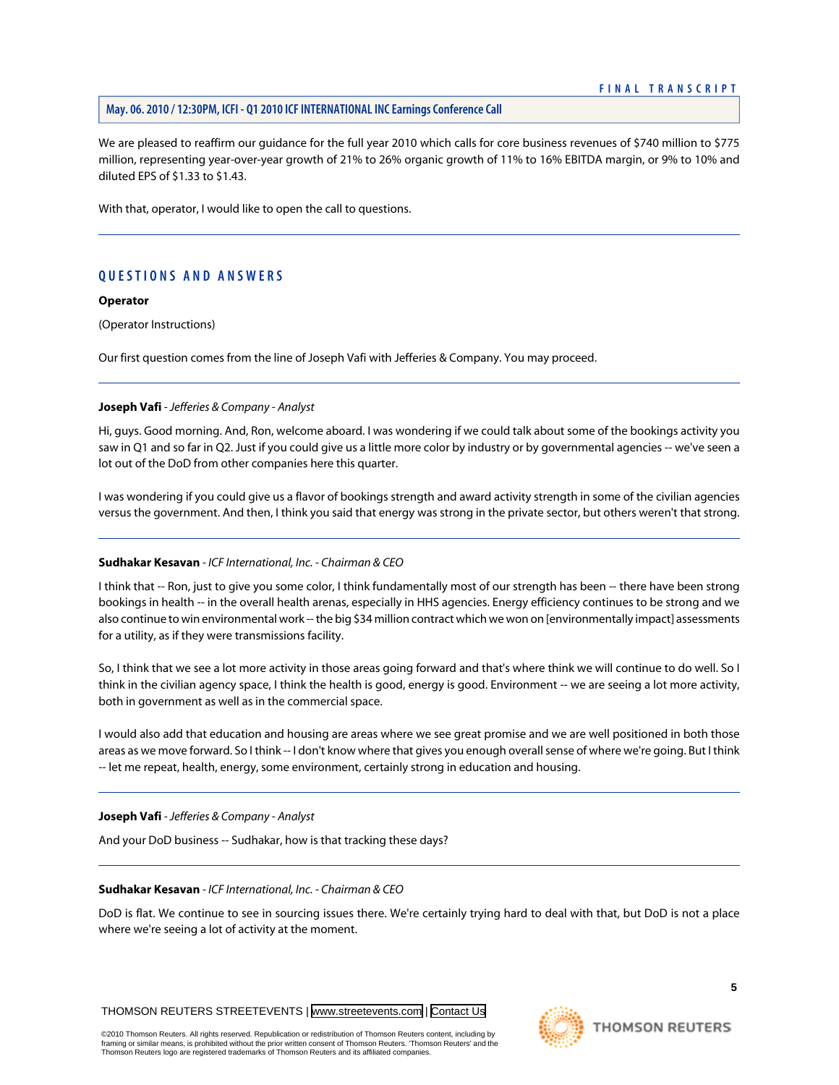# **May. 06. 2010 / 12:30PM, ICFI - Q1 2010 ICF INTERNATIONAL INC Earnings Conference Call**

We are pleased to reaffirm our guidance for the full year 2010 which calls for core business revenues of \$740 million to \$775 million, representing year-over-year growth of 21% to 26% organic growth of 11% to 16% EBITDA margin, or 9% to 10% and diluted EPS of \$1.33 to \$1.43.

With that, operator, I would like to open the call to questions.

# **QUESTIONS AND ANSWERS**

# **Operator**

(Operator Instructions)

<span id="page-5-0"></span>Our first question comes from the line of Joseph Vafi with Jefferies & Company. You may proceed.

# **Joseph Vafi** *- Jefferies & Company - Analyst*

Hi, guys. Good morning. And, Ron, welcome aboard. I was wondering if we could talk about some of the bookings activity you saw in Q1 and so far in Q2. Just if you could give us a little more color by industry or by governmental agencies -- we've seen a lot out of the DoD from other companies here this quarter.

I was wondering if you could give us a flavor of bookings strength and award activity strength in some of the civilian agencies versus the government. And then, I think you said that energy was strong in the private sector, but others weren't that strong.

# **Sudhakar Kesavan** *- ICF International, Inc. - Chairman & CEO*

I think that -- Ron, just to give you some color, I think fundamentally most of our strength has been -- there have been strong bookings in health -- in the overall health arenas, especially in HHS agencies. Energy efficiency continues to be strong and we also continue to win environmental work -- the big \$34 million contract which we won on [environmentally impact] assessments for a utility, as if they were transmissions facility.

So, I think that we see a lot more activity in those areas going forward and that's where think we will continue to do well. So I think in the civilian agency space, I think the health is good, energy is good. Environment -- we are seeing a lot more activity, both in government as well as in the commercial space.

I would also add that education and housing are areas where we see great promise and we are well positioned in both those areas as we move forward. So I think -- I don't know where that gives you enough overall sense of where we're going. But I think -- let me repeat, health, energy, some environment, certainly strong in education and housing.

**Joseph Vafi** *- Jefferies & Company - Analyst*

And your DoD business -- Sudhakar, how is that tracking these days?

# **Sudhakar Kesavan** *- ICF International, Inc. - Chairman & CEO*

DoD is flat. We continue to see in sourcing issues there. We're certainly trying hard to deal with that, but DoD is not a place where we're seeing a lot of activity at the moment.

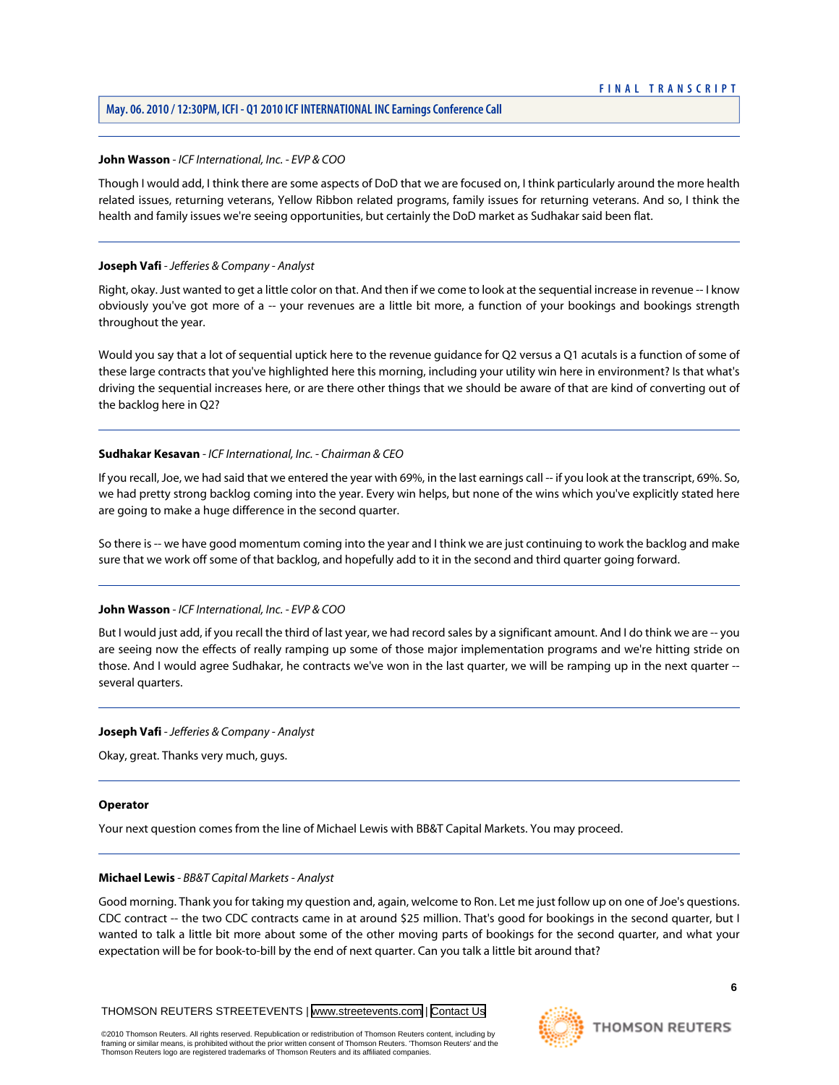# **May. 06. 2010 / 12:30PM, ICFI - Q1 2010 ICF INTERNATIONAL INC Earnings Conference Call**

#### **John Wasson** *- ICF International, Inc. - EVP & COO*

Though I would add, I think there are some aspects of DoD that we are focused on, I think particularly around the more health related issues, returning veterans, Yellow Ribbon related programs, family issues for returning veterans. And so, I think the health and family issues we're seeing opportunities, but certainly the DoD market as Sudhakar said been flat.

#### **Joseph Vafi** *- Jefferies & Company - Analyst*

Right, okay. Just wanted to get a little color on that. And then if we come to look at the sequential increase in revenue -- I know obviously you've got more of a -- your revenues are a little bit more, a function of your bookings and bookings strength throughout the year.

Would you say that a lot of sequential uptick here to the revenue guidance for Q2 versus a Q1 acutals is a function of some of these large contracts that you've highlighted here this morning, including your utility win here in environment? Is that what's driving the sequential increases here, or are there other things that we should be aware of that are kind of converting out of the backlog here in Q2?

# **Sudhakar Kesavan** *- ICF International, Inc. - Chairman & CEO*

If you recall, Joe, we had said that we entered the year with 69%, in the last earnings call -- if you look at the transcript, 69%. So, we had pretty strong backlog coming into the year. Every win helps, but none of the wins which you've explicitly stated here are going to make a huge difference in the second quarter.

So there is -- we have good momentum coming into the year and I think we are just continuing to work the backlog and make sure that we work off some of that backlog, and hopefully add to it in the second and third quarter going forward.

#### **John Wasson** *- ICF International, Inc. - EVP & COO*

But I would just add, if you recall the third of last year, we had record sales by a significant amount. And I do think we are -- you are seeing now the effects of really ramping up some of those major implementation programs and we're hitting stride on those. And I would agree Sudhakar, he contracts we've won in the last quarter, we will be ramping up in the next quarter - several quarters.

#### **Joseph Vafi** *- Jefferies & Company - Analyst*

Okay, great. Thanks very much, guys.

#### <span id="page-6-0"></span>**Operator**

Your next question comes from the line of Michael Lewis with BB&T Capital Markets. You may proceed.

#### **Michael Lewis** *- BB&T Capital Markets - Analyst*

Good morning. Thank you for taking my question and, again, welcome to Ron. Let me just follow up on one of Joe's questions. CDC contract -- the two CDC contracts came in at around \$25 million. That's good for bookings in the second quarter, but I wanted to talk a little bit more about some of the other moving parts of bookings for the second quarter, and what your expectation will be for book-to-bill by the end of next quarter. Can you talk a little bit around that?

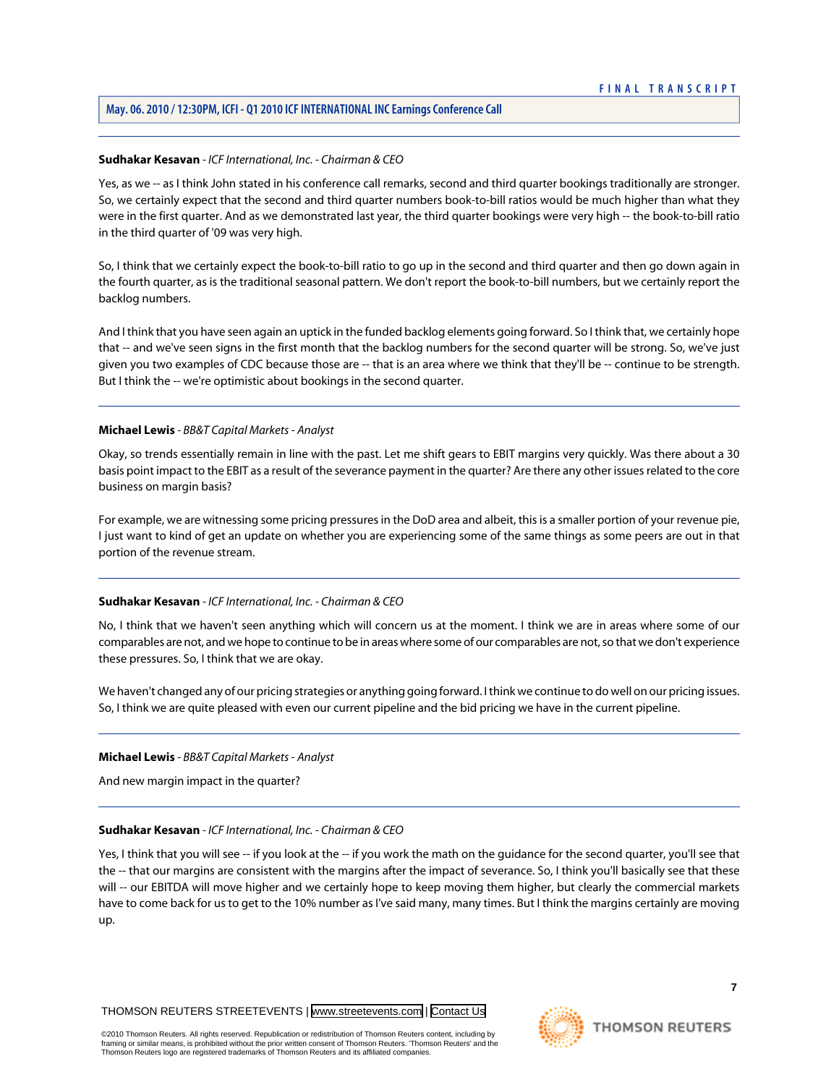# **May. 06. 2010 / 12:30PM, ICFI - Q1 2010 ICF INTERNATIONAL INC Earnings Conference Call**

# **Sudhakar Kesavan** *- ICF International, Inc. - Chairman & CEO*

Yes, as we -- as I think John stated in his conference call remarks, second and third quarter bookings traditionally are stronger. So, we certainly expect that the second and third quarter numbers book-to-bill ratios would be much higher than what they were in the first quarter. And as we demonstrated last year, the third quarter bookings were very high -- the book-to-bill ratio in the third quarter of '09 was very high.

So, I think that we certainly expect the book-to-bill ratio to go up in the second and third quarter and then go down again in the fourth quarter, as is the traditional seasonal pattern. We don't report the book-to-bill numbers, but we certainly report the backlog numbers.

And I think that you have seen again an uptick in the funded backlog elements going forward. So I think that, we certainly hope that -- and we've seen signs in the first month that the backlog numbers for the second quarter will be strong. So, we've just given you two examples of CDC because those are -- that is an area where we think that they'll be -- continue to be strength. But I think the -- we're optimistic about bookings in the second quarter.

## **Michael Lewis** *- BB&T Capital Markets - Analyst*

Okay, so trends essentially remain in line with the past. Let me shift gears to EBIT margins very quickly. Was there about a 30 basis point impact to the EBIT as a result of the severance payment in the quarter? Are there any other issues related to the core business on margin basis?

For example, we are witnessing some pricing pressures in the DoD area and albeit, this is a smaller portion of your revenue pie, I just want to kind of get an update on whether you are experiencing some of the same things as some peers are out in that portion of the revenue stream.

#### **Sudhakar Kesavan** *- ICF International, Inc. - Chairman & CEO*

No, I think that we haven't seen anything which will concern us at the moment. I think we are in areas where some of our comparables are not, and we hope to continue to be in areas where some of our comparables are not, so that we don't experience these pressures. So, I think that we are okay.

We haven't changed any of our pricing strategies or anything going forward. I think we continue to do well on our pricing issues. So, I think we are quite pleased with even our current pipeline and the bid pricing we have in the current pipeline.

#### **Michael Lewis** *- BB&T Capital Markets - Analyst*

And new margin impact in the quarter?

#### **Sudhakar Kesavan** *- ICF International, Inc. - Chairman & CEO*

Yes, I think that you will see -- if you look at the -- if you work the math on the quidance for the second quarter, you'll see that the -- that our margins are consistent with the margins after the impact of severance. So, I think you'll basically see that these will -- our EBITDA will move higher and we certainly hope to keep moving them higher, but clearly the commercial markets have to come back for us to get to the 10% number as I've said many, many times. But I think the margins certainly are moving up.

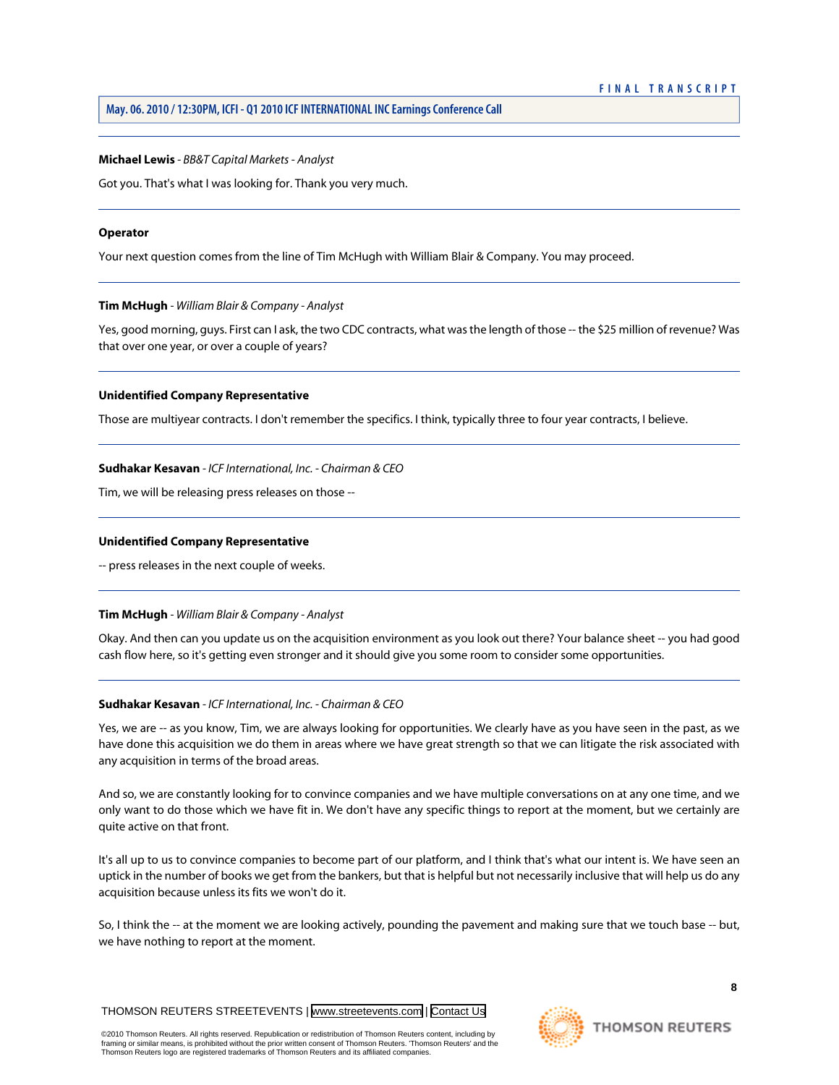#### **Michael Lewis** *- BB&T Capital Markets - Analyst*

Got you. That's what I was looking for. Thank you very much.

#### **Operator**

<span id="page-8-0"></span>Your next question comes from the line of Tim McHugh with William Blair & Company. You may proceed.

#### **Tim McHugh** *- William Blair & Company - Analyst*

Yes, good morning, guys. First can I ask, the two CDC contracts, what was the length of those -- the \$25 million of revenue? Was that over one year, or over a couple of years?

#### **Unidentified Company Representative**

Those are multiyear contracts. I don't remember the specifics. I think, typically three to four year contracts, I believe.

#### **Sudhakar Kesavan** *- ICF International, Inc. - Chairman & CEO*

Tim, we will be releasing press releases on those --

#### **Unidentified Company Representative**

-- press releases in the next couple of weeks.

#### **Tim McHugh** *- William Blair & Company - Analyst*

Okay. And then can you update us on the acquisition environment as you look out there? Your balance sheet -- you had good cash flow here, so it's getting even stronger and it should give you some room to consider some opportunities.

#### **Sudhakar Kesavan** *- ICF International, Inc. - Chairman & CEO*

Yes, we are -- as you know, Tim, we are always looking for opportunities. We clearly have as you have seen in the past, as we have done this acquisition we do them in areas where we have great strength so that we can litigate the risk associated with any acquisition in terms of the broad areas.

And so, we are constantly looking for to convince companies and we have multiple conversations on at any one time, and we only want to do those which we have fit in. We don't have any specific things to report at the moment, but we certainly are quite active on that front.

It's all up to us to convince companies to become part of our platform, and I think that's what our intent is. We have seen an uptick in the number of books we get from the bankers, but that is helpful but not necessarily inclusive that will help us do any acquisition because unless its fits we won't do it.

So, I think the -- at the moment we are looking actively, pounding the pavement and making sure that we touch base -- but, we have nothing to report at the moment.

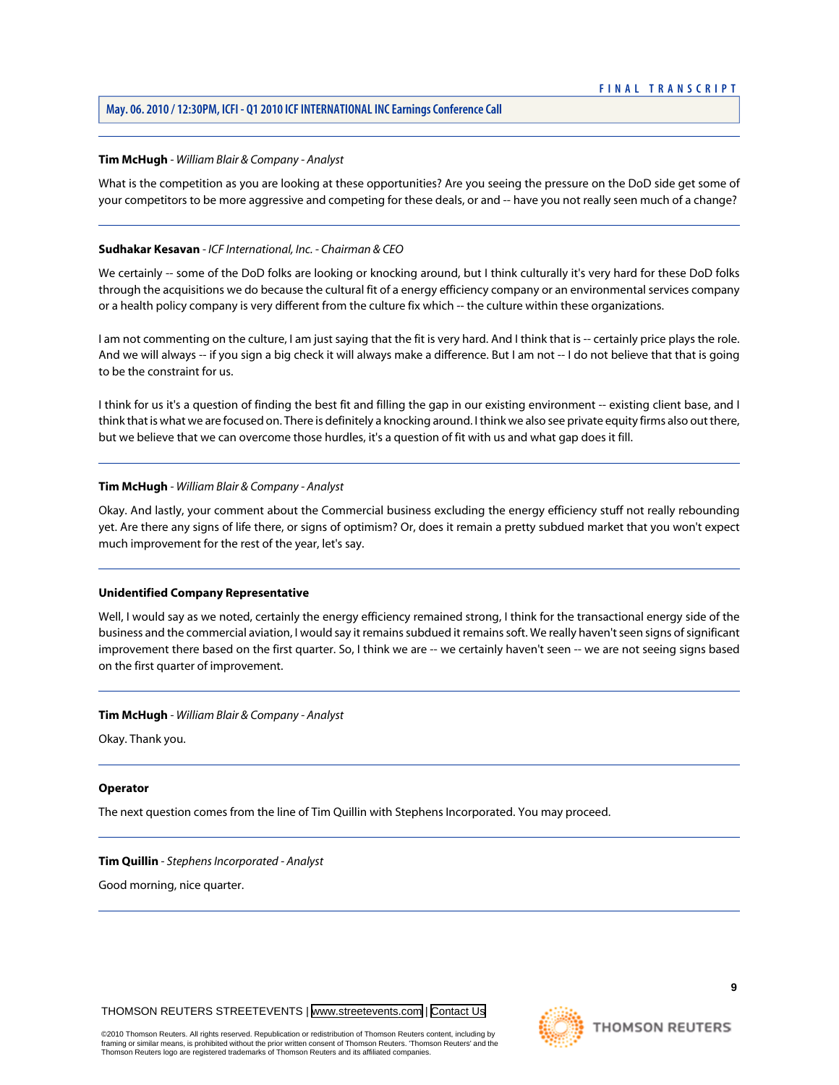# **May. 06. 2010 / 12:30PM, ICFI - Q1 2010 ICF INTERNATIONAL INC Earnings Conference Call**

## **Tim McHugh** *- William Blair & Company - Analyst*

What is the competition as you are looking at these opportunities? Are you seeing the pressure on the DoD side get some of your competitors to be more aggressive and competing for these deals, or and -- have you not really seen much of a change?

## **Sudhakar Kesavan** *- ICF International, Inc. - Chairman & CEO*

We certainly -- some of the DoD folks are looking or knocking around, but I think culturally it's very hard for these DoD folks through the acquisitions we do because the cultural fit of a energy efficiency company or an environmental services company or a health policy company is very different from the culture fix which -- the culture within these organizations.

I am not commenting on the culture, I am just saying that the fit is very hard. And I think that is -- certainly price plays the role. And we will always -- if you sign a big check it will always make a difference. But I am not -- I do not believe that that is going to be the constraint for us.

I think for us it's a question of finding the best fit and filling the gap in our existing environment -- existing client base, and I think that is what we are focused on. There is definitely a knocking around. I think we also see private equity firms also out there, but we believe that we can overcome those hurdles, it's a question of fit with us and what gap does it fill.

## **Tim McHugh** *- William Blair & Company - Analyst*

Okay. And lastly, your comment about the Commercial business excluding the energy efficiency stuff not really rebounding yet. Are there any signs of life there, or signs of optimism? Or, does it remain a pretty subdued market that you won't expect much improvement for the rest of the year, let's say.

#### **Unidentified Company Representative**

Well, I would say as we noted, certainly the energy efficiency remained strong, I think for the transactional energy side of the business and the commercial aviation, I would say it remains subdued it remains soft. We really haven't seen signs of significant improvement there based on the first quarter. So, I think we are -- we certainly haven't seen -- we are not seeing signs based on the first quarter of improvement.

#### **Tim McHugh** *- William Blair & Company - Analyst*

Okay. Thank you.

#### <span id="page-9-0"></span>**Operator**

The next question comes from the line of Tim Quillin with Stephens Incorporated. You may proceed.

#### **Tim Quillin** *- Stephens Incorporated - Analyst*

Good morning, nice quarter.

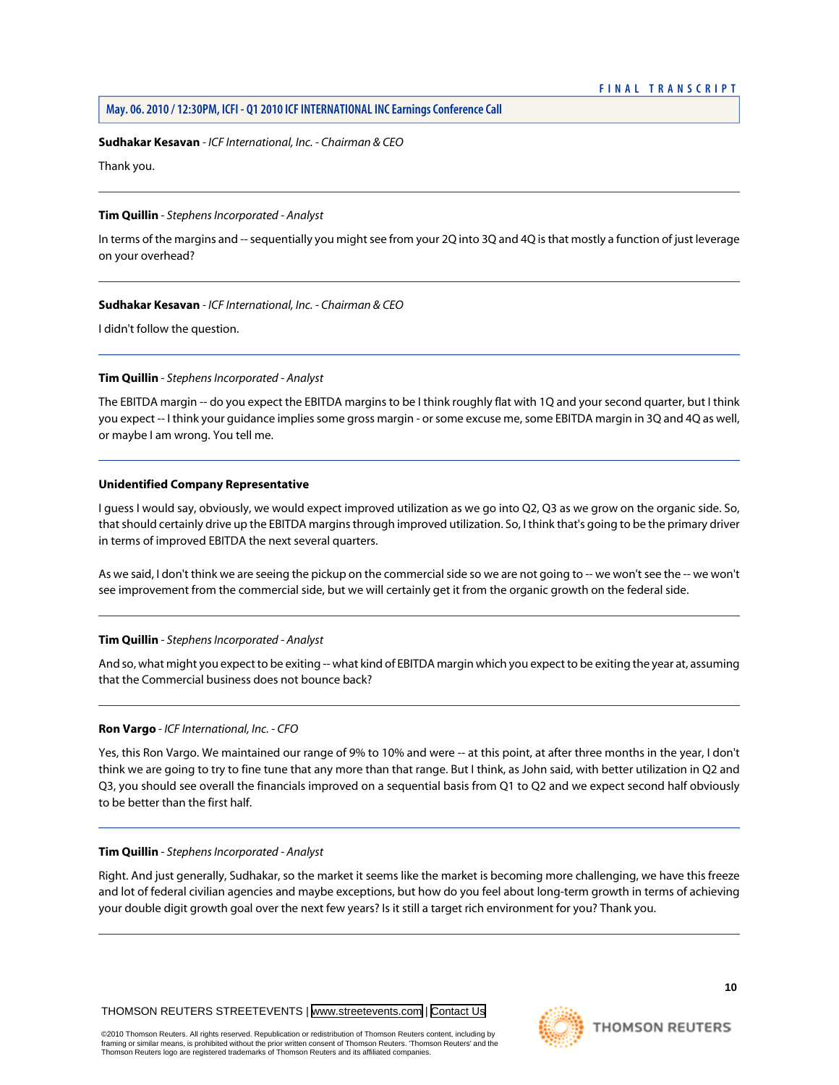#### **Sudhakar Kesavan** *- ICF International, Inc. - Chairman & CEO*

Thank you.

#### **Tim Quillin** *- Stephens Incorporated - Analyst*

In terms of the margins and -- sequentially you might see from your 2Q into 3Q and 4Q is that mostly a function of just leverage on your overhead?

#### **Sudhakar Kesavan** *- ICF International, Inc. - Chairman & CEO*

I didn't follow the question.

#### **Tim Quillin** *- Stephens Incorporated - Analyst*

The EBITDA margin -- do you expect the EBITDA margins to be I think roughly flat with 1Q and your second quarter, but I think you expect -- I think your guidance implies some gross margin - or some excuse me, some EBITDA margin in 3Q and 4Q as well, or maybe I am wrong. You tell me.

#### **Unidentified Company Representative**

I guess I would say, obviously, we would expect improved utilization as we go into Q2, Q3 as we grow on the organic side. So, that should certainly drive up the EBITDA margins through improved utilization. So, I think that's going to be the primary driver in terms of improved EBITDA the next several quarters.

As we said, I don't think we are seeing the pickup on the commercial side so we are not going to -- we won't see the -- we won't see improvement from the commercial side, but we will certainly get it from the organic growth on the federal side.

#### **Tim Quillin** *- Stephens Incorporated - Analyst*

And so, what might you expect to be exiting -- what kind of EBITDA margin which you expect to be exiting the year at, assuming that the Commercial business does not bounce back?

#### **Ron Vargo** *- ICF International, Inc. - CFO*

Yes, this Ron Vargo. We maintained our range of 9% to 10% and were -- at this point, at after three months in the year, I don't think we are going to try to fine tune that any more than that range. But I think, as John said, with better utilization in Q2 and Q3, you should see overall the financials improved on a sequential basis from Q1 to Q2 and we expect second half obviously to be better than the first half.

#### **Tim Quillin** *- Stephens Incorporated - Analyst*

Right. And just generally, Sudhakar, so the market it seems like the market is becoming more challenging, we have this freeze and lot of federal civilian agencies and maybe exceptions, but how do you feel about long-term growth in terms of achieving your double digit growth goal over the next few years? Is it still a target rich environment for you? Thank you.

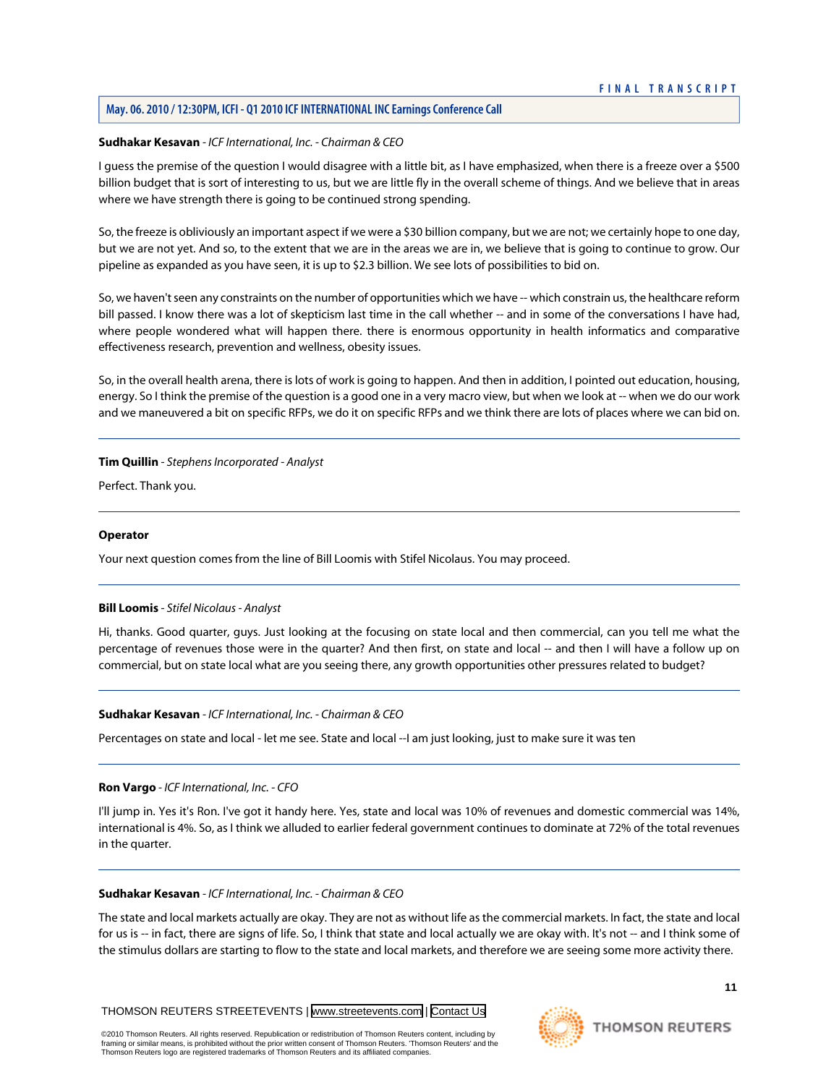# **May. 06. 2010 / 12:30PM, ICFI - Q1 2010 ICF INTERNATIONAL INC Earnings Conference Call**

#### **Sudhakar Kesavan** *- ICF International, Inc. - Chairman & CEO*

I guess the premise of the question I would disagree with a little bit, as I have emphasized, when there is a freeze over a \$500 billion budget that is sort of interesting to us, but we are little fly in the overall scheme of things. And we believe that in areas where we have strength there is going to be continued strong spending.

So, the freeze is obliviously an important aspect if we were a \$30 billion company, but we are not; we certainly hope to one day, but we are not yet. And so, to the extent that we are in the areas we are in, we believe that is going to continue to grow. Our pipeline as expanded as you have seen, it is up to \$2.3 billion. We see lots of possibilities to bid on.

So, we haven't seen any constraints on the number of opportunities which we have -- which constrain us, the healthcare reform bill passed. I know there was a lot of skepticism last time in the call whether -- and in some of the conversations I have had, where people wondered what will happen there. there is enormous opportunity in health informatics and comparative effectiveness research, prevention and wellness, obesity issues.

So, in the overall health arena, there is lots of work is going to happen. And then in addition, I pointed out education, housing, energy. So I think the premise of the question is a good one in a very macro view, but when we look at -- when we do our work and we maneuvered a bit on specific RFPs, we do it on specific RFPs and we think there are lots of places where we can bid on.

## **Tim Quillin** *- Stephens Incorporated - Analyst*

Perfect. Thank you.

## **Operator**

<span id="page-11-0"></span>Your next question comes from the line of Bill Loomis with Stifel Nicolaus. You may proceed.

# **Bill Loomis** *- Stifel Nicolaus - Analyst*

Hi, thanks. Good quarter, guys. Just looking at the focusing on state local and then commercial, can you tell me what the percentage of revenues those were in the quarter? And then first, on state and local -- and then I will have a follow up on commercial, but on state local what are you seeing there, any growth opportunities other pressures related to budget?

#### **Sudhakar Kesavan** *- ICF International, Inc. - Chairman & CEO*

Percentages on state and local - let me see. State and local --I am just looking, just to make sure it was ten

#### **Ron Vargo** *- ICF International, Inc. - CFO*

I'll jump in. Yes it's Ron. I've got it handy here. Yes, state and local was 10% of revenues and domestic commercial was 14%, international is 4%. So, as I think we alluded to earlier federal government continues to dominate at 72% of the total revenues in the quarter.

#### **Sudhakar Kesavan** *- ICF International, Inc. - Chairman & CEO*

The state and local markets actually are okay. They are not as without life as the commercial markets. In fact, the state and local for us is -- in fact, there are signs of life. So, I think that state and local actually we are okay with. It's not -- and I think some of the stimulus dollars are starting to flow to the state and local markets, and therefore we are seeing some more activity there.



**11**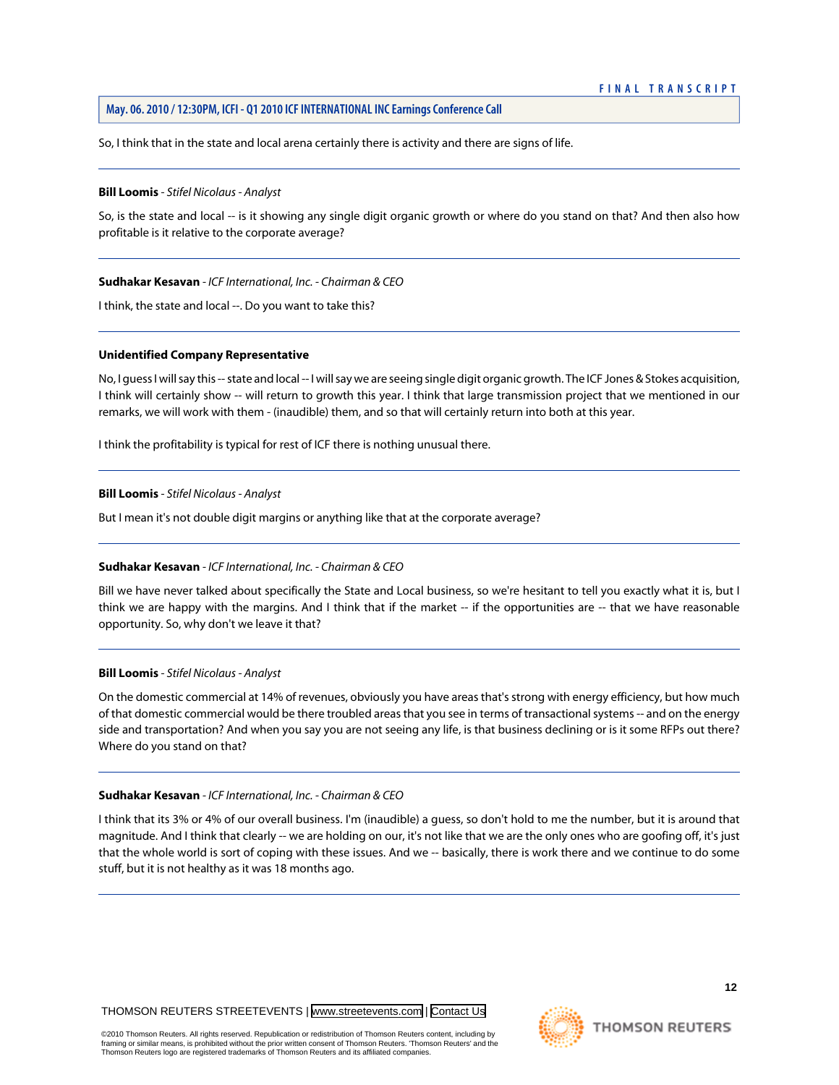So, I think that in the state and local arena certainly there is activity and there are signs of life.

#### **Bill Loomis** *- Stifel Nicolaus - Analyst*

So, is the state and local -- is it showing any single digit organic growth or where do you stand on that? And then also how profitable is it relative to the corporate average?

#### **Sudhakar Kesavan** *- ICF International, Inc. - Chairman & CEO*

I think, the state and local --. Do you want to take this?

#### **Unidentified Company Representative**

No, I guess I will say this -- state and local -- I will say we are seeing single digit organic growth. The ICF Jones & Stokes acquisition, I think will certainly show -- will return to growth this year. I think that large transmission project that we mentioned in our remarks, we will work with them - (inaudible) them, and so that will certainly return into both at this year.

I think the profitability is typical for rest of ICF there is nothing unusual there.

#### **Bill Loomis** *- Stifel Nicolaus - Analyst*

But I mean it's not double digit margins or anything like that at the corporate average?

#### **Sudhakar Kesavan** *- ICF International, Inc. - Chairman & CEO*

Bill we have never talked about specifically the State and Local business, so we're hesitant to tell you exactly what it is, but I think we are happy with the margins. And I think that if the market -- if the opportunities are -- that we have reasonable opportunity. So, why don't we leave it that?

#### **Bill Loomis** *- Stifel Nicolaus - Analyst*

On the domestic commercial at 14% of revenues, obviously you have areas that's strong with energy efficiency, but how much of that domestic commercial would be there troubled areas that you see in terms of transactional systems -- and on the energy side and transportation? And when you say you are not seeing any life, is that business declining or is it some RFPs out there? Where do you stand on that?

#### **Sudhakar Kesavan** *- ICF International, Inc. - Chairman & CEO*

I think that its 3% or 4% of our overall business. I'm (inaudible) a guess, so don't hold to me the number, but it is around that magnitude. And I think that clearly -- we are holding on our, it's not like that we are the only ones who are goofing off, it's just that the whole world is sort of coping with these issues. And we -- basically, there is work there and we continue to do some stuff, but it is not healthy as it was 18 months ago.

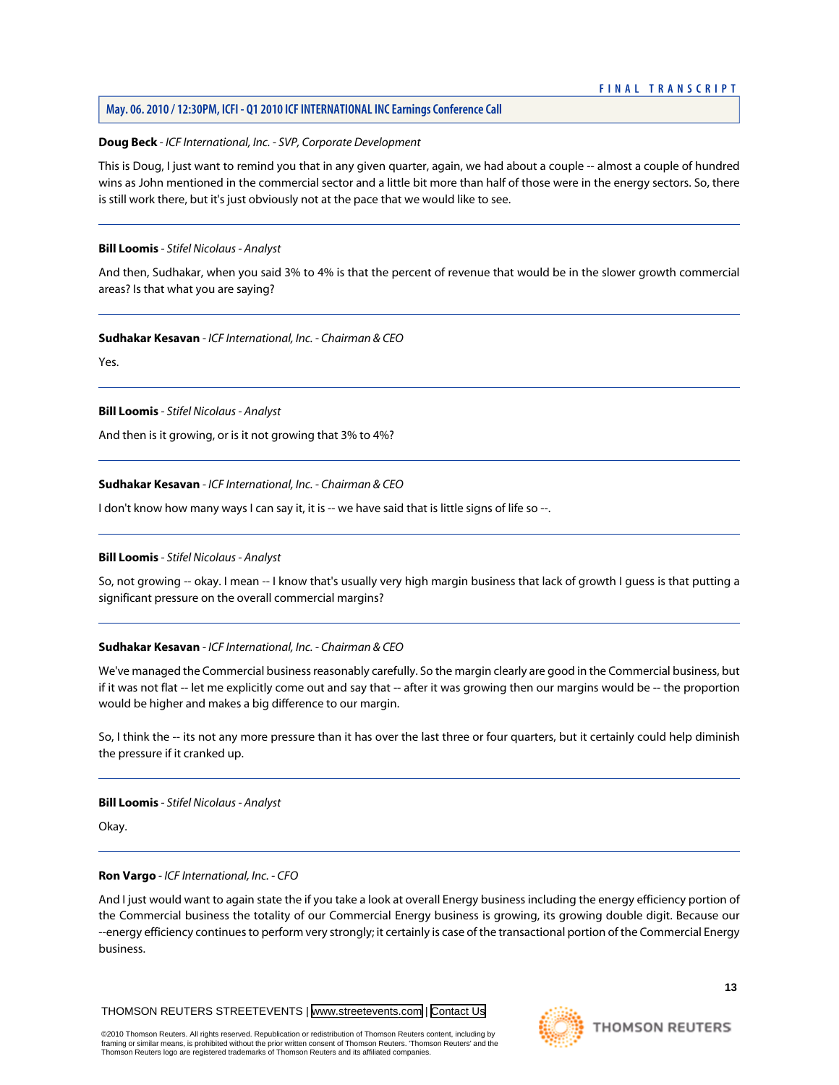# **May. 06. 2010 / 12:30PM, ICFI - Q1 2010 ICF INTERNATIONAL INC Earnings Conference Call**

# **Doug Beck** *- ICF International, Inc. - SVP, Corporate Development*

This is Doug, I just want to remind you that in any given quarter, again, we had about a couple -- almost a couple of hundred wins as John mentioned in the commercial sector and a little bit more than half of those were in the energy sectors. So, there is still work there, but it's just obviously not at the pace that we would like to see.

## **Bill Loomis** *- Stifel Nicolaus - Analyst*

And then, Sudhakar, when you said 3% to 4% is that the percent of revenue that would be in the slower growth commercial areas? Is that what you are saying?

## **Sudhakar Kesavan** *- ICF International, Inc. - Chairman & CEO*

Yes.

## **Bill Loomis** *- Stifel Nicolaus - Analyst*

And then is it growing, or is it not growing that 3% to 4%?

# **Sudhakar Kesavan** *- ICF International, Inc. - Chairman & CEO*

I don't know how many ways I can say it, it is -- we have said that is little signs of life so --.

# **Bill Loomis** *- Stifel Nicolaus - Analyst*

So, not growing -- okay. I mean -- I know that's usually very high margin business that lack of growth I guess is that putting a significant pressure on the overall commercial margins?

# **Sudhakar Kesavan** *- ICF International, Inc. - Chairman & CEO*

We've managed the Commercial business reasonably carefully. So the margin clearly are good in the Commercial business, but if it was not flat -- let me explicitly come out and say that -- after it was growing then our margins would be -- the proportion would be higher and makes a big difference to our margin.

So, I think the -- its not any more pressure than it has over the last three or four quarters, but it certainly could help diminish the pressure if it cranked up.

**Bill Loomis** *- Stifel Nicolaus - Analyst*

Okay.

#### **Ron Vargo** *- ICF International, Inc. - CFO*

And I just would want to again state the if you take a look at overall Energy business including the energy efficiency portion of the Commercial business the totality of our Commercial Energy business is growing, its growing double digit. Because our --energy efficiency continues to perform very strongly; it certainly is case of the transactional portion of the Commercial Energy business.

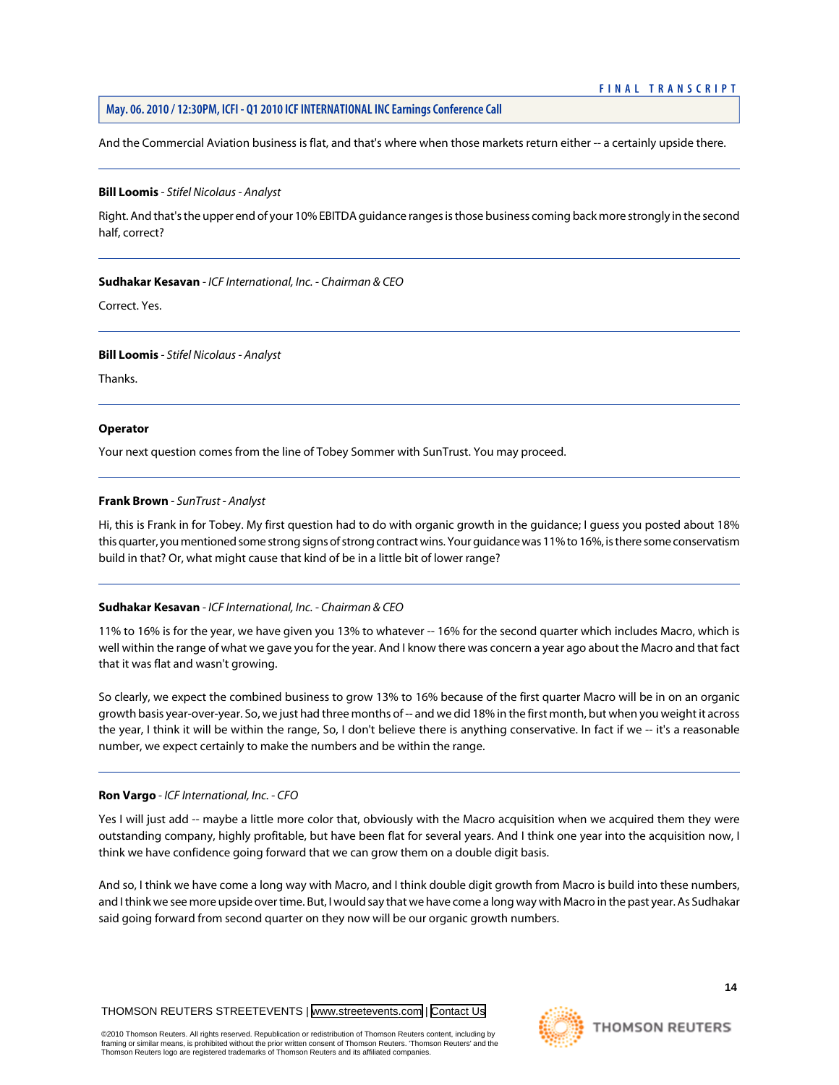And the Commercial Aviation business is flat, and that's where when those markets return either -- a certainly upside there.

#### **Bill Loomis** *- Stifel Nicolaus - Analyst*

Right. And that's the upper end of your 10% EBITDA guidance ranges is those business coming back more strongly in the second half, correct?

#### **Sudhakar Kesavan** *- ICF International, Inc. - Chairman & CEO*

Correct. Yes.

#### **Bill Loomis** *- Stifel Nicolaus - Analyst*

Thanks.

#### **Operator**

<span id="page-14-0"></span>Your next question comes from the line of Tobey Sommer with SunTrust. You may proceed.

#### **Frank Brown** *- SunTrust - Analyst*

Hi, this is Frank in for Tobey. My first question had to do with organic growth in the guidance; I guess you posted about 18% this quarter, you mentioned some strong signs of strong contract wins. Your guidance was 11% to 16%, is there some conservatism build in that? Or, what might cause that kind of be in a little bit of lower range?

#### **Sudhakar Kesavan** *- ICF International, Inc. - Chairman & CEO*

11% to 16% is for the year, we have given you 13% to whatever -- 16% for the second quarter which includes Macro, which is well within the range of what we gave you for the year. And I know there was concern a year ago about the Macro and that fact that it was flat and wasn't growing.

So clearly, we expect the combined business to grow 13% to 16% because of the first quarter Macro will be in on an organic growth basis year-over-year. So, we just had three months of -- and we did 18% in the first month, but when you weight it across the year, I think it will be within the range, So, I don't believe there is anything conservative. In fact if we -- it's a reasonable number, we expect certainly to make the numbers and be within the range.

#### **Ron Vargo** *- ICF International, Inc. - CFO*

Yes I will just add -- maybe a little more color that, obviously with the Macro acquisition when we acquired them they were outstanding company, highly profitable, but have been flat for several years. And I think one year into the acquisition now, I think we have confidence going forward that we can grow them on a double digit basis.

And so, I think we have come a long way with Macro, and I think double digit growth from Macro is build into these numbers, and I think we see more upside over time. But, I would say that we have come a long way with Macro in the past year. As Sudhakar said going forward from second quarter on they now will be our organic growth numbers.

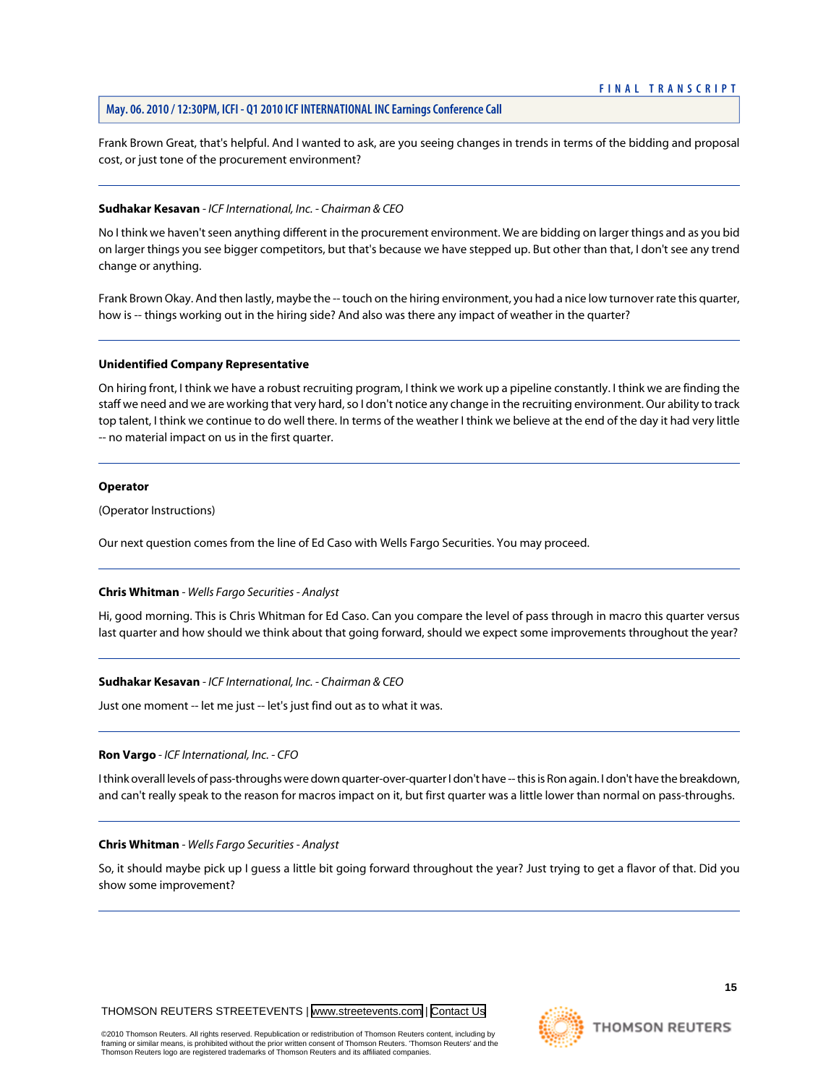Frank Brown Great, that's helpful. And I wanted to ask, are you seeing changes in trends in terms of the bidding and proposal cost, or just tone of the procurement environment?

#### **Sudhakar Kesavan** *- ICF International, Inc. - Chairman & CEO*

No I think we haven't seen anything different in the procurement environment. We are bidding on larger things and as you bid on larger things you see bigger competitors, but that's because we have stepped up. But other than that, I don't see any trend change or anything.

Frank Brown Okay. And then lastly, maybe the -- touch on the hiring environment, you had a nice low turnover rate this quarter, how is -- things working out in the hiring side? And also was there any impact of weather in the quarter?

#### **Unidentified Company Representative**

On hiring front, I think we have a robust recruiting program, I think we work up a pipeline constantly. I think we are finding the staff we need and we are working that very hard, so I don't notice any change in the recruiting environment. Our ability to track top talent, I think we continue to do well there. In terms of the weather I think we believe at the end of the day it had very little -- no material impact on us in the first quarter.

#### **Operator**

(Operator Instructions)

<span id="page-15-0"></span>Our next question comes from the line of Ed Caso with Wells Fargo Securities. You may proceed.

#### **Chris Whitman** *- Wells Fargo Securities - Analyst*

Hi, good morning. This is Chris Whitman for Ed Caso. Can you compare the level of pass through in macro this quarter versus last quarter and how should we think about that going forward, should we expect some improvements throughout the year?

#### **Sudhakar Kesavan** *- ICF International, Inc. - Chairman & CEO*

Just one moment -- let me just -- let's just find out as to what it was.

#### **Ron Vargo** *- ICF International, Inc. - CFO*

I think overall levels of pass-throughs were down quarter-over-quarter I don't have -- this is Ron again. I don't have the breakdown, and can't really speak to the reason for macros impact on it, but first quarter was a little lower than normal on pass-throughs.

#### **Chris Whitman** *- Wells Fargo Securities - Analyst*

So, it should maybe pick up I guess a little bit going forward throughout the year? Just trying to get a flavor of that. Did you show some improvement?

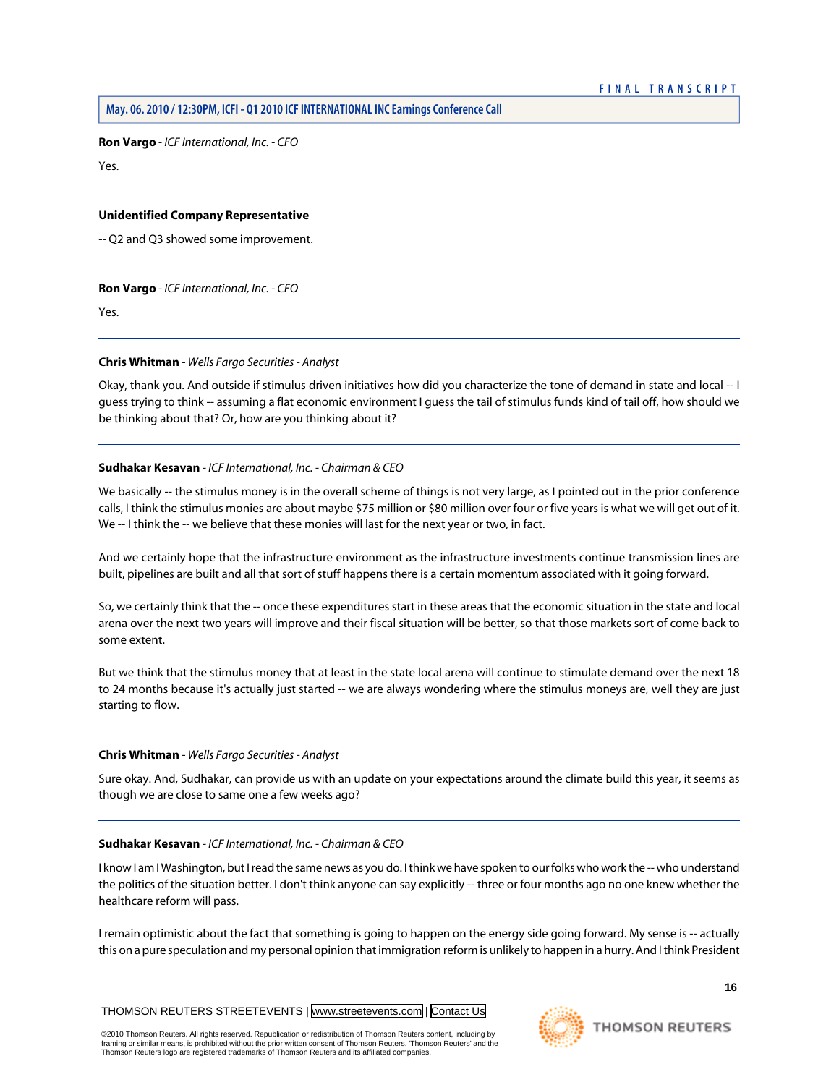**Ron Vargo** *- ICF International, Inc. - CFO*

Yes.

#### **Unidentified Company Representative**

-- Q2 and Q3 showed some improvement.

## **Ron Vargo** *- ICF International, Inc. - CFO*

Yes.

## **Chris Whitman** *- Wells Fargo Securities - Analyst*

Okay, thank you. And outside if stimulus driven initiatives how did you characterize the tone of demand in state and local -- I guess trying to think -- assuming a flat economic environment I guess the tail of stimulus funds kind of tail off, how should we be thinking about that? Or, how are you thinking about it?

## **Sudhakar Kesavan** *- ICF International, Inc. - Chairman & CEO*

We basically -- the stimulus money is in the overall scheme of things is not very large, as I pointed out in the prior conference calls, I think the stimulus monies are about maybe \$75 million or \$80 million over four or five years is what we will get out of it. We -- I think the -- we believe that these monies will last for the next year or two, in fact.

And we certainly hope that the infrastructure environment as the infrastructure investments continue transmission lines are built, pipelines are built and all that sort of stuff happens there is a certain momentum associated with it going forward.

So, we certainly think that the -- once these expenditures start in these areas that the economic situation in the state and local arena over the next two years will improve and their fiscal situation will be better, so that those markets sort of come back to some extent.

But we think that the stimulus money that at least in the state local arena will continue to stimulate demand over the next 18 to 24 months because it's actually just started -- we are always wondering where the stimulus moneys are, well they are just starting to flow.

#### **Chris Whitman** *- Wells Fargo Securities - Analyst*

Sure okay. And, Sudhakar, can provide us with an update on your expectations around the climate build this year, it seems as though we are close to same one a few weeks ago?

#### **Sudhakar Kesavan** *- ICF International, Inc. - Chairman & CEO*

I know I am I Washington, but I read the same news as you do. I think we have spoken to our folks who work the -- who understand the politics of the situation better. I don't think anyone can say explicitly -- three or four months ago no one knew whether the healthcare reform will pass.

I remain optimistic about the fact that something is going to happen on the energy side going forward. My sense is -- actually this on a pure speculation and my personal opinion that immigration reform is unlikely to happen in a hurry. And I think President

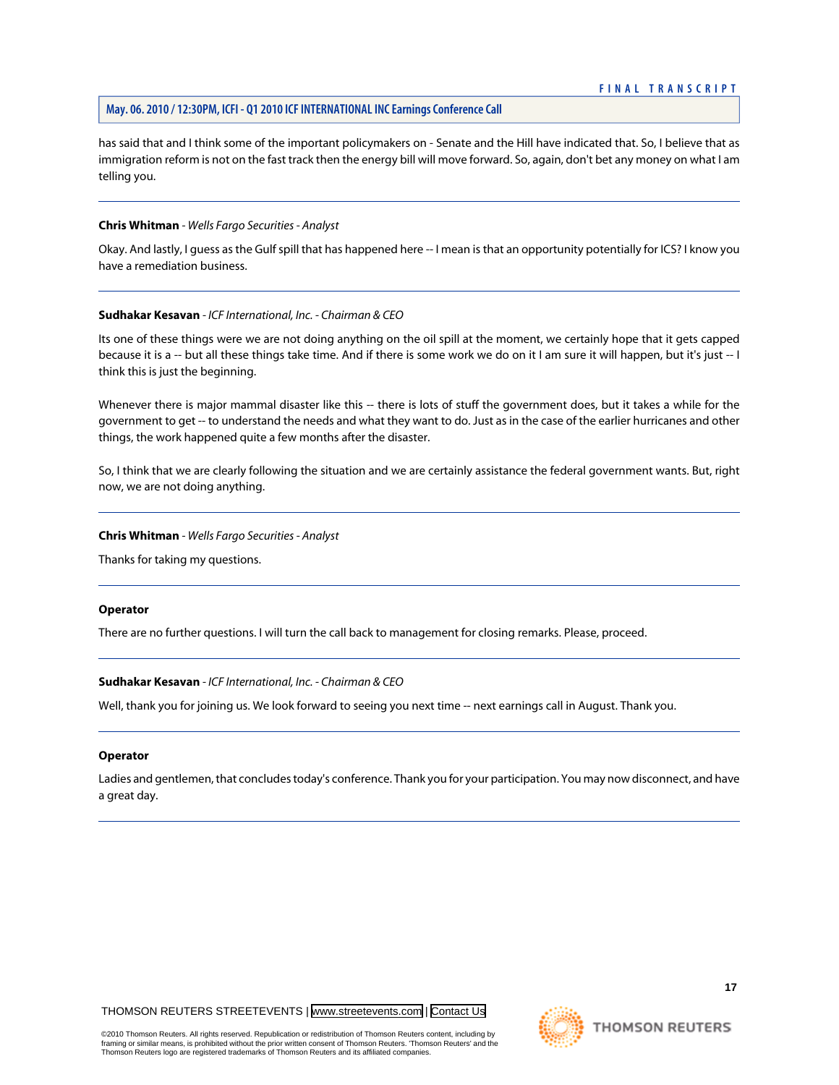#### **May. 06. 2010 / 12:30PM, ICFI - Q1 2010 ICF INTERNATIONAL INC Earnings Conference Call**

has said that and I think some of the important policymakers on - Senate and the Hill have indicated that. So, I believe that as immigration reform is not on the fast track then the energy bill will move forward. So, again, don't bet any money on what I am telling you.

#### **Chris Whitman** *- Wells Fargo Securities - Analyst*

Okay. And lastly, I guess as the Gulf spill that has happened here -- I mean is that an opportunity potentially for ICS? I know you have a remediation business.

#### **Sudhakar Kesavan** *- ICF International, Inc. - Chairman & CEO*

Its one of these things were we are not doing anything on the oil spill at the moment, we certainly hope that it gets capped because it is a -- but all these things take time. And if there is some work we do on it I am sure it will happen, but it's just -- I think this is just the beginning.

Whenever there is major mammal disaster like this -- there is lots of stuff the government does, but it takes a while for the government to get -- to understand the needs and what they want to do. Just as in the case of the earlier hurricanes and other things, the work happened quite a few months after the disaster.

So, I think that we are clearly following the situation and we are certainly assistance the federal government wants. But, right now, we are not doing anything.

#### **Chris Whitman** *- Wells Fargo Securities - Analyst*

Thanks for taking my questions.

#### **Operator**

There are no further questions. I will turn the call back to management for closing remarks. Please, proceed.

#### **Sudhakar Kesavan** *- ICF International, Inc. - Chairman & CEO*

Well, thank you for joining us. We look forward to seeing you next time -- next earnings call in August. Thank you.

#### **Operator**

Ladies and gentlemen, that concludes today's conference. Thank you for your participation. You may now disconnect, and have a great day.